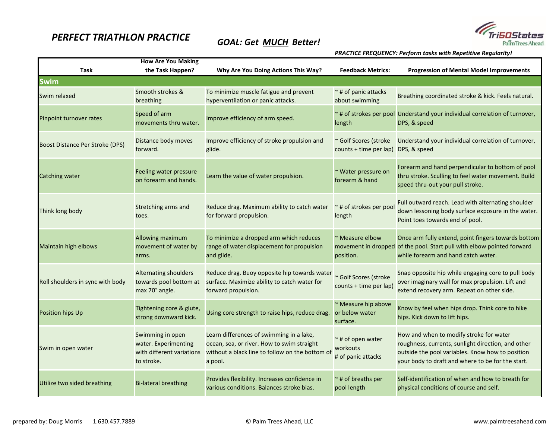## *PERFECT TRIATHLON PRACTICE*

## *GOAL: Get MUCH Better!*



*PRACTICE FREQUENCY: Perform tasks with Repetitive Regularity!*

| <b>How Are You Making</b>        |                                                                                     |                                                                                                                                                      |                                                              |                                                                                                                                                                                                        |  |  |
|----------------------------------|-------------------------------------------------------------------------------------|------------------------------------------------------------------------------------------------------------------------------------------------------|--------------------------------------------------------------|--------------------------------------------------------------------------------------------------------------------------------------------------------------------------------------------------------|--|--|
| <b>Task</b>                      | the Task Happen?                                                                    | Why Are You Doing Actions This Way?                                                                                                                  | <b>Feedback Metrics:</b>                                     | <b>Progression of Mental Model Improvements</b>                                                                                                                                                        |  |  |
| <b>Swim</b>                      |                                                                                     |                                                                                                                                                      |                                                              |                                                                                                                                                                                                        |  |  |
| Swim relaxed                     | Smooth strokes &<br>breathing                                                       | To minimize muscle fatigue and prevent<br>hyperventilation or panic attacks.                                                                         | $\sim$ # of panic attacks<br>about swimming                  | Breathing coordinated stroke & kick. Feels natural.                                                                                                                                                    |  |  |
| Pinpoint turnover rates          | Speed of arm<br>movements thru water.                                               | Improve efficiency of arm speed.                                                                                                                     | length                                                       | ~# of strokes per pool Understand your individual correlation of turnover,<br>DPS, & speed                                                                                                             |  |  |
| Boost Distance Per Stroke (DPS)  | Distance body moves<br>forward.                                                     | Improve efficiency of stroke propulsion and<br>glide.                                                                                                | ~ Golf Scores (stroke<br>counts + time per lap) DPS, & speed | Understand your individual correlation of turnover,                                                                                                                                                    |  |  |
| Catching water                   | Feeling water pressure<br>on forearm and hands.                                     | Learn the value of water propulsion.                                                                                                                 | ~ Water pressure on<br>forearm & hand                        | Forearm and hand perpendicular to bottom of pool<br>thru stroke. Sculling to feel water movement. Build<br>speed thru-out your pull stroke.                                                            |  |  |
| Think long body                  | Stretching arms and<br>toes.                                                        | Reduce drag. Maximum ability to catch water<br>for forward propulsion.                                                                               | ~# of strokes per pool<br>length                             | Full outward reach. Lead with alternating shoulder<br>down lessoning body surface exposure in the water.<br>Point toes towards end of pool.                                                            |  |  |
| Maintain high elbows             | Allowing maximum<br>movement of water by<br>arms.                                   | To minimize a dropped arm which reduces<br>range of water displacement for propulsion<br>and glide.                                                  | ~ Measure elbow<br>position.                                 | Once arm fully extend, point fingers towards bottom<br>movement in dropped of the pool. Start pull with elbow pointed forward<br>while forearm and hand catch water.                                   |  |  |
| Roll shoulders in sync with body | <b>Alternating shoulders</b><br>towards pool bottom at<br>max 70° angle.            | Reduce drag. Buoy opposite hip towards water<br>surface. Maximize ability to catch water for<br>forward propulsion.                                  | ~ Golf Scores (stroke<br>counts + time per lap)              | Snap opposite hip while engaging core to pull body<br>over imaginary wall for max propulsion. Lift and<br>extend recovery arm. Repeat on other side.                                                   |  |  |
| Position hips Up                 | Tightening core & glute,<br>strong downward kick.                                   | Using core strength to raise hips, reduce drag.                                                                                                      | ~ Measure hip above<br>or below water<br>surface.            | Know by feel when hips drop. Think core to hike<br>hips. Kick down to lift hips.                                                                                                                       |  |  |
| Swim in open water               | Swimming in open<br>water. Experimenting<br>with different variations<br>to stroke. | Learn differences of swimming in a lake,<br>ocean, sea, or river. How to swim straight<br>without a black line to follow on the bottom of<br>a pool. | $\sim$ # of open water<br>workouts<br># of panic attacks     | How and when to modify stroke for water<br>roughness, currents, sunlight direction, and other<br>outside the pool variables. Know how to position<br>your body to draft and where to be for the start. |  |  |
| Utilize two sided breathing      | <b>Bi-lateral breathing</b>                                                         | Provides flexibility. Increases confidence in<br>various conditions. Balances stroke bias.                                                           | $\sim$ # of breaths per<br>pool length                       | Self-identification of when and how to breath for<br>physical conditions of course and self.                                                                                                           |  |  |